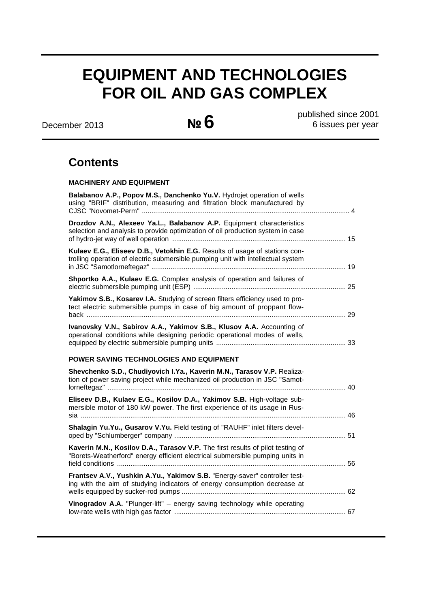# **EQUIPMENT AND TECHNOLOGIES FOR OIL AND GAS COMPLEX**

December 2013 **№6** 

 published since 2001 6 issues per year

## **Contents**

## **MACHINERY AND EQUIPMENT**

| <b>Balabanov A.P., Popov M.S., Danchenko Yu.V.</b> Hydrojet operation of wells<br>using "BRIF" distribution, measuring and filtration block manufactured by     |    |
|-----------------------------------------------------------------------------------------------------------------------------------------------------------------|----|
| Drozdov A.N., Alexeev Ya.L., Balabanov A.P. Equipment characteristics<br>selection and analysis to provide optimization of oil production system in case        |    |
| Kulaev E.G., Eliseev D.B., Vetokhin E.G. Results of usage of stations con-<br>trolling operation of electric submersible pumping unit with intellectual system  |    |
| Shportko A.A., Kulaev E.G. Complex analysis of operation and failures of                                                                                        |    |
| Yakimov S.B., Kosarev I.A. Studying of screen filters efficiency used to pro-<br>tect electric submersible pumps in case of big amount of proppant flow-        | 29 |
| Ivanovsky V.N., Sabirov A.A., Yakimov S.B., Klusov A.A. Accounting of<br>operational conditions while designing periodic operational modes of wells,            |    |
| POWER SAVING TECHNOLOGIES AND EQUIPMENT                                                                                                                         |    |
| Shevchenko S.D., Chudiyovich I.Ya., Kaverin M.N., Tarasov V.P. Realiza-<br>tion of power saving project while mechanized oil production in JSC "Samot-<br>. 40  |    |
| Eliseev D.B., Kulaev E.G., Kosilov D.A., Yakimov S.B. High-voltage sub-<br>mersible motor of 180 kW power. The first experience of its usage in Rus-            |    |
| Shalagin Yu.Yu., Gusarov V.Yu. Field testing of "RAUHF" inlet filters devel-                                                                                    |    |
| Kaverin M.N., Kosilov D.A., Tarasov V.P. The first results of pilot testing of<br>"Borets-Weatherford" energy efficient electrical submersible pumping units in | 56 |
| Frantsev A.V., Yushkin A.Yu., Yakimov S.B. "Energy-saver" controller test-<br>ing with the aim of studying indicators of energy consumption decrease at         |    |
| Vinogradov A.A. "Plunger-lift" - energy saving technology while operating                                                                                       |    |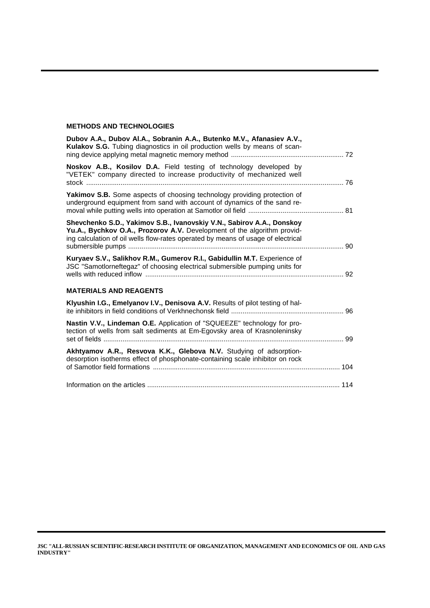## **METHODS AND TECHNOLOGIES**

| Dubov A.A., Dubov Al.A., Sobranin A.A., Butenko M.V., Afanasiev A.V.,<br>Kulakov S.G. Tubing diagnostics in oil production wells by means of scan-                                                                                   |    |
|--------------------------------------------------------------------------------------------------------------------------------------------------------------------------------------------------------------------------------------|----|
| Noskov A.B., Kosilov D.A. Field testing of technology developed by<br>"VETEK" company directed to increase productivity of mechanized well                                                                                           |    |
| Yakimov S.B. Some aspects of choosing technology providing protection of<br>underground equipment from sand with account of dynamics of the sand re-                                                                                 |    |
| Shevchenko S.D., Yakimov S.B., Ivanovskiy V.N., Sabirov A.A., Donskoy<br>Yu.A., Bychkov O.A., Prozorov A.V. Development of the algorithm provid-<br>ing calculation of oil wells flow-rates operated by means of usage of electrical | 90 |
| Kuryaev S.V., Salikhov R.M., Gumerov R.I., Gabidullin M.T. Experience of<br>JSC "Samotlorneftegaz" of choosing electrical submersible pumping units for                                                                              |    |
| <b>MATERIALS AND REAGENTS</b>                                                                                                                                                                                                        |    |
| Klyushin I.G., Emelyanov I.V., Denisova A.V. Results of pilot testing of hal-                                                                                                                                                        |    |
| Nastin V.V., Lindeman O.E. Application of "SQUEEZE" technology for pro-<br>tection of wells from salt sediments at Em-Egovsky area of Krasnoleninsky                                                                                 | 99 |
| Akhtyamov A.R., Resvova K.K., Glebova N.V. Studying of adsorption-<br>desorption isotherms effect of phosphonate-containing scale inhibitor on rock                                                                                  |    |
|                                                                                                                                                                                                                                      |    |

**JSC "ALL-RUSSIAN SCIENTIFIC-RESEARCH INSTITUTE OF ORGANIZATION, MANAGEMENT AND ECONOMICS OF OIL AND GAS INDUSTRY"**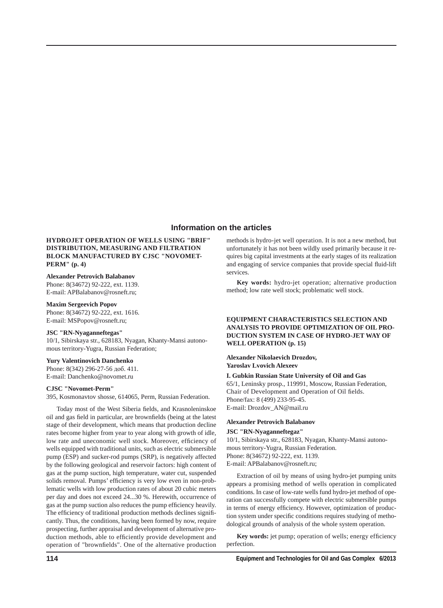## **Information on the articles**

## **HYDROJET OPERATION OF WELLS USING "BRIF" DIS TRIBUTION, MEASURING AND FILTRATION BLOCK MANUFACTURED BY CJSC "NOVOMET-PERM" (р. 4)**

#### **Alexander Petrovich Balabanov**

Phone: 8(34672) 92-222, ext. 1139. E-mail: APBalabanov@rosneft.ru;

## **Maxim Sergeevich Popov**

Phone: 8(34672) 92-222, ext. 1616. E-mail: MSPopov@rosneft.ru;

## **JSC "RN-Nyaganneftegas"**

10/1, Sibirskaya str., 628183, Nyagan, Khanty-Mansi autonomous territory-Yugra, Russian Federation;

## **Yury Valentinovich Danchenko**

Phone: 8(342) 296-27-56 доб. 411. E-mail: Danchenko@novomet.ru

#### **CJSC "Novomet-Perm"**

395, Kosmonavtov shosse, 614065, Perm, Russian Federation.

Today most of the West Siberia fields, and Krasnoleninskoe oil and gas field in particular, are brownfields (being at the latest stage of their development, which means that production decline rates become higher from year to year along with growth of idle, low rate and uneconomic well stock. Moreover, efficiency of wells equipped with traditional units, such as electric submersible pump (ESP) and sucker-rod pumps (SRP), is negatively affected by the following geological and reservoir factors: high content of gas at the pump suction, high temperature, water cut, suspended solids removal. Pumps' efficiency is very low even in non-problematic wells with low production rates of about 20 cubic meters per day and does not exceed 24...30 %. Herewith, occurrence of gas at the pump suction also reduces the pump efficiency heavily. The efficiency of traditional production methods declines significantly. Thus, the conditions, having been formed by now, require prospecting, further appraisal and development of alternative production methods, able to efficiently provide development and operation of "brownfields". One of the alternative production

methods is hydro-jet well operation. It is not a new method, but unfortunately it has not been wildly used primarily because it requires big capital investments at the early stages of its realization and engaging of service companies that provide special fluid-lift services.

**Key words:** hydro-jet operation; alternative production method; low rate well stock; problematic well stock.

## **EQUIPMENT CHARACTERISTICS SELECTION AND ANALYSIS TO PROVIDE OPTIMIZATION OF OIL PRO-DUCTION SYSTEM IN CASE OF HYDRO-JET WAY OF WELL OPERATION (р. 15)**

## **Alexander Nikolaevich Drozdov, Yaroslav Lvovich Alexeev**

**I. Gubkin Russian State University of Oil and Gas** 65/1, Leninsky prosp., 119991, Moscow, Russian Federation, Chair of Development and Operation of Oil fields. Phone/fax: 8 (499) 233-95-45. E-mail: Drozdov\_AN@mail.ru

#### **Alexander Petrovich Balabanov**

#### **JSC "RN-Nyaganneftegaz"**

10/1, Sibirskaya str., 628183, Nyagan, Khanty-Mansi autonomous territory-Yugra, Russian Federation. Phone: 8(34672) 92-222, ext. 1139. E-mail: APBalabanov@rosneft.ru;

Extraction of oil by means of using hydro-jet pumping units appears a promising method of wells operation in complicated conditions. In case of low-rate wells fund hydro-jet method of operation can successfully compete with electric submersible pumps in terms of energy efficiency. However, optimization of production system under specific conditions requires studying of methodological grounds of analysis of the whole system operation.

Key words: jet pump; operation of wells; energy efficiency perfection.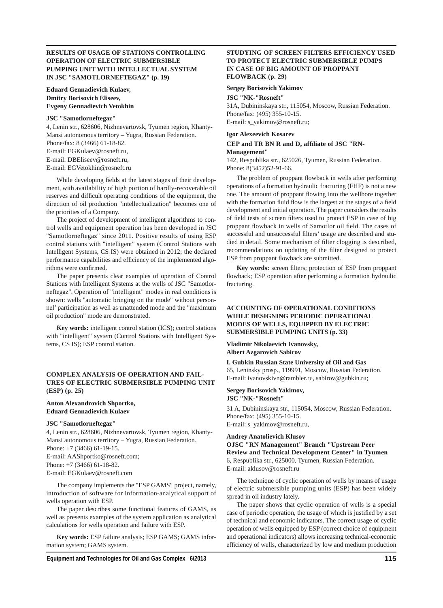## **RESULTS OF USAGE OF STATIONS CONTROLLING OPERATION OF ELECTRIC SUBMERSIBLE PUMPING UNIT WITH INTELLECTUAL SYSTEM IN JSC "SAMOTLORNEFTEGAZ" (р. 19)**

## **Eduard Gennadievich Kulaev, Dmitry Borisovich Eliseev, Evgeny Gennadievich Vetokhin**

#### **JSC "Samotlorneftegaz"**

4, Lenin str., 628606, Nizhnevartovsk, Tyumen region, Khanty-Mansi autonomous territory – Yugra, Russian Federation. Phone/fax: 8 (3466) 61-18-82. E-mail: EGKulaev@rosneft.ru, E-mail: DBEliseev@rosneft.ru, E-mail: EGVetokhin@rosneft.ru

While developing fields at the latest stages of their development, with availability of high portion of hardly-recoverable oil reserves and difficult operating conditions of the equipment, the direction of oil production "intellectualization" becomes one of the priorities of a Company.

The project of development of intelligent algorithms to control wells and equipment operation has been developed in JSC "Samotlorneftegaz" since 2011. Positive results of using ESP control stations with "intelligent" system (Control Stations with Intelligent Systems, CS IS) were obtained in 2012; the declared performance capabilities and efficiency of the implemented algorithms were confirmed.

The paper presents clear examples of operation of Control Stations with Intelligent Systems at the wells of JSC "Samotlorneftegaz". Operation of "intelligent" modes in real conditions is shown: wells "automatic bringing on the mode" without personnel' participation as well as unattended mode and the "maximum oil production" mode are demonstrated.

**Key words:** intelligent control station (ICS); control stations with "intelligent" system (Control Stations with Intelligent Systems, CS IS); ESP control station.

## **COMPLEX ANALYSIS OF OPERATION AND FAIL-URES OF ELECTRIC SUBMERSIBLE PUMPING UNIT (ESP) (р. 25)**

#### **Anton Alexandrovich Shportko, Eduard Gennadievich Kulaev**

#### **JSC "Samotlorneftegaz"**

4, Lenin str., 628606, Nizhnevartovsk, Tyumen region, Khanty-Mansi autonomous territory – Yugra, Russian Federation. Phone: +7 (3466) 61-19-15. E-mail: AAShportko@rosneft.com; Phone: +7 (3466) 61-18-82.

E-mail: EGKulaev@rosneft.com

The company implements the "ESP GAMS" project, namely, introduction of software for information-analytical support of wells operation with ESP.

The paper describes some functional features of GAMS, as well as presents examples of the system application as analytical calculations for wells operation and failure with ESP.

**Key words:** ESP failure analysis; ESP GAMS; GAMS information system; GAMS system.

## **STUDYING OF SCREEN FILTERS EFFICIENCY USED TO PROTECT ELECTRIC SUBMERSIBLE PUMPS IN CASE OF BIG AMOUNT OF PROPPANT FLOWBACK (р. 29)**

#### **Sergey Borisovich Yakimov**

**JSC "NK-"Rosneft"**

31A, Dubininskaya str., 115054, Moscow, Russian Federation. Phone/fax: (495) 355-10-15. E-mail: s\_yakimov@rosneft.ru;

#### **Igor Alexeevich Kosarev**

## **CEP and TR BN R and D, affi liate of JSC "RN-Management"**

142, Respublika str., 625026, Tyumen, Russian Federation. Phone: 8(3452)52-91-66.

The problem of proppant flowback in wells after performing operations of a formation hydraulic fracturing (FHF) is not a new one. The amount of proppant flowing into the wellbore together with the formation fluid flow is the largest at the stages of a field development and initial operation. The paper considers the results of field tests of screen filters used to protect ESP in case of big proppant flowback in wells of Samotlor oil field. The cases of successful and unsuccessful filters' usage are described and studied in detail. Some mechanism of filter clogging is described, recommendations on updating of the filter designed to protect ESP from proppant flowback are submitted.

Key words: screen filters; protection of ESP from proppant flowback; ESP operation after performing a formation hydraulic fracturing.

## **ACCOUNTING OF OPERATIONAL CONDITIONS WHILE DESIGNING PERIODIC OPERATIONAL MODES OF WELLS, EQUIPPED BY ELECTRIC SUBMERSIBLE PUMPING UNITS (р. 33)**

#### **Vladimir Nikolaevich Ivanovsky, Albert Azgarovich Sabirov**

**I. Gubkin Russian State University of Oil and Gas**

65, Leninsky prosp., 119991, Moscow, Russian Federation. E-mail: ivanovskivn@rambler.ru, sabirov@gubkin.ru;

### **Sergey Borisovich Yakimov, JSC "NK-"Rosneft"**

31 A, Dubininskaya str., 115054, Moscow, Russian Federation. Phone/fax: (495) 355-10-15. E-mail: s\_yakimov@rosneft.ru,

#### **Andrey Anatolievich Klusov**

**OJSC "RN Management" Branch "Upstream Peer Review and Technical Development Center" in Tyumen** 6, Respublika str., 625000, Tyumen, Russian Federation. E-mail: aklusov@rosneft.ru

The technique of cyclic operation of wells by means of usage of electric submersible pumping units (ESP) has been widely spread in oil industry lately.

The paper shows that cyclic operation of wells is a special case of periodic operation, the usage of which is justified by a set of technical and economic indicators. The correct usage of cyclic operation of wells equipped by ESP (correct choice of equipment and operational indicators) allows increasing technical-economic efficiency of wells, characterized by low and medium production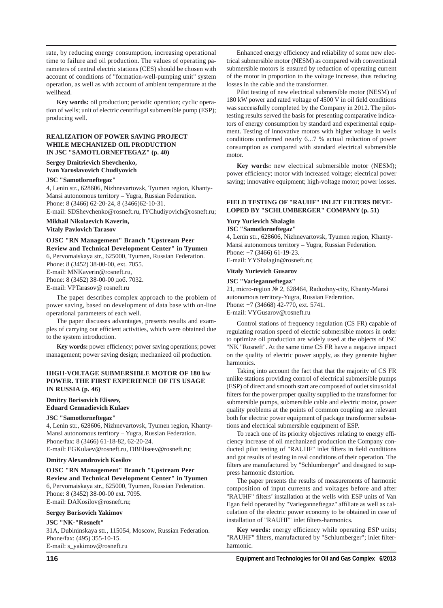rate, by reducing energy consumption, increasing operational time to failure and oil production. The values of operating parameters of central electric stations (CES) should be chosen with account of conditions of "formation-well-pumping unit" system operation, as well as with account of ambient temperature at the wellhead.

**Key words:** oil production; periodic operation; cyclic operation of wells; unit of electric centrifugal submersible pump (ESP); producing well.

## **REALIZATION OF POWER SAVING PROJECT WHILE MECHANIZED OIL PRODUCTION IN JSC "SAMOTLORNEFTEGAZ" (р. 40)**

## **Sergey Dmitrievich Shevchenko, Ivan Yaroslavovich Chudiyovich**

#### **JSC "Samotlorneftegaz"**

4, Lenin str., 628606, Nizhnevartovsk, Tyumen region, Khanty-Mansi autonomous territory – Yugra, Russian Federation. Phone: 8 (3466) 62-20-24, 8 (3466)62-10-31. E-mail: SDShevchenko@rosneft.ru, IYChudiyovich@rosneft.ru;

**Mikhail Nikolaevich Kaverin,** 

**Vitaly Pavlovich Tarasov** 

**OJSC "RN Management" Branch "Upstream Peer Review and Technical Development Center" in Tyumen** 6, Pervomaiskaya str., 625000, Tyumen, Russian Federation. Phone: 8 (3452) 38-00-00, ext. 7055. E-mail: MNKaverin@rosneft.ru,

Phone: 8 (3452) 38-00-00 доб. 7032.

E-mail: VPTarasov@ rosneft.ru

The paper describes complex approach to the problem of power saving, based on development of data base with on-line operational parameters of each well.

The paper discusses advantages, presents results and examples of carrying out efficient activities, which were obtained due to the system introduction.

Key words: power efficiency; power saving operations; power management; power saving design; mechanized oil production.

## **HIGH-VOLTAGE SUBMERSIBLE MOTOR OF 180 kw POWER. THE FIRST EXPERIENCE OF ITS USAGE IN RUSSIA (р. 46)**

## **Dmitry Borisovich Eliseev,**

**Eduard Gennadievich Kulaev**

## **JSC "Samotlorneftegaz"**

4, Lenin str., 628606, Nizhnevartovsk, Tyumen region, Khanty-Mansi autonomous territory – Yugra, Russian Federation. Phone/fax: 8 (3466) 61-18-82, 62-20-24. E-mail: EGKulaev@rosneft.ru, DBEliseev@rosneft.ru;

## **Dmitry Alexandrovich Kosilov**

**OJSC "RN Management" Branch "Upstream Peer Review and Technical Development Center" in Tyumen** 6, Pervomaiskaya str., 625000, Tyumen, Russian Federation. Phone: 8 (3452) 38-00-00 ext. 7095. E-mail: DAKosilov@rosneft.ru;

#### **Sergey Borisovich Yakimov**

## **JSC "NK-"Rosneft"**

31A, Dubininskaya str., 115054, Moscow, Russian Federation. Phone/fax: (495) 355-10-15. E-mail: s\_yakimov@rosneft.ru

Enhanced energy efficiency and reliability of some new electrical submersible motor (NESM) as compared with conventional submersible motors is ensured by reduction of operating current of the motor in proportion to the voltage increase, thus reducing losses in the cable and the transformer.

Pilot testing of new electrical submersible motor (NESM) of 180 kW power and rated voltage of 4500 V in oil field conditions was successfully completed by the Company in 2012. The pilottesting results served the basis for presenting comparative indicators of energy consumption by standard and experimental equipment. Testing of innovative motors with higher voltage in wells conditions confirmed nearly 6...7 % actual reduction of power consumption as compared with standard electrical submersible motor.

**Key words:** new electrical submersible motor (NESM); power efficiency; motor with increased voltage; electrical power saving; innovative equipment; high-voltage motor; power losses.

## **FIELD TESTING OF "RAUHF" INLET FILTERS DEVE-LOPED BY "SCHLUMBERGER" COMPANY (р. 51)**

## **Yury Yurievich Shalagin**

**JSC "Samotlorneftegaz"**

4, Lenin str., 628606, Nizhnevartovsk, Tyumen region, Khanty-Mansi autonomous territory – Yugra, Russian Federation. Phone: +7 (3466) 61-19-23. E-mail: YYShalagin@rosneft.ru;

#### **Vitaly Yurievich Gusarov**

#### **JSC "Varieganneftegaz"**

21, micro-region № 2, 628464, Raduzhny-city, Khanty-Mansi autonomous territory-Yugra, Russian Federation. Phone: +7 (34668) 42-770, ext. 5741. E-mail: VYGusarov@rosneft.ru

Control stations of frequency regulation (CS FR) capable of regulating rotation speed of electric submersible motors in order to optimize oil production are widely used at the objects of JSC "NK "Rosneft". At the same time CS FR have a negative impact on the quality of electric power supply, as they generate higher harmonics.

Taking into account the fact that that the majority of CS FR unlike stations providing control of electrical submersible pumps (ESP) of direct and smooth start are composed of outlet sinusoidal filters for the power proper quality supplied to the transformer for submersible pumps, submersible cable and electric motor, power quality problems at the points of common coupling are relevant both for electric power equipment of package transformer substations and electrical submersible equipment of ESP.

To reach one of its priority objectives relating to energy efficiency increase of oil mechanized production the Company conducted pilot testing of "RAUHF" inlet filters in field conditions and got results of testing in real conditions of their operation. The filters are manufactured by "Schlumberger" and designed to suppress harmonic distortion.

The paper presents the results of measurements of harmonic composition of input currents and voltages before and after "RAUHF" filters' installation at the wells with ESP units of Van Egan field operated by "Varieganneftegaz" affiliate as well as calculation of the electric power economy to be obtained in case of installation of "RAUHF" inlet filters-harmonics.

Key words: energy efficiency while operating ESP units; "RAUHF" filters, manufactured by "Schlumberger"; inlet filterharmonic.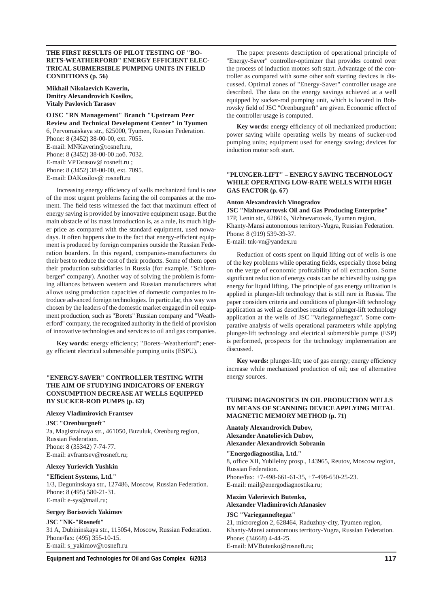## **THE FIRST RESULTS OF PILOT TESTING OF "BO-RETS-WEATHERFORD" ENERGY EFFICIENT ELEC-TRICAL SUBMERSIBLE PUMPING UNITS IN FIELD CONDITIONS (р. 56)**

**Mikhail Nikolaevich Kaverin, Dmitry Alexandrovich Kosilov, Vitaly Pavlovich Tarasov**

**OJSC "RN Management" Branch "Upstream Peer Review and Technical Development Center" in Tyumen** 6, Pervomaiskaya str., 625000, Tyumen, Russian Federation. Phone: 8 (3452) 38-00-00, ext. 7055. E-mail: MNKaverin@rosneft.ru, Phone: 8 (3452) 38-00-00 доб. 7032. E-mail: VPTarasov@ rosneft.ru ; Phone: 8 (3452) 38-00-00, ext. 7095. E-mail: DAKosilov@ rosneft.ru

Increasing energy efficiency of wells mechanized fund is one of the most urgent problems facing the oil companies at the moment. The field tests witnessed the fact that maximum effect of energy saving is provided by innovative equipment usage. But the main obstacle of its mass introduction is, as a rule, its much higher price as compared with the standard equipment, used nowadays. It often happens due to the fact that energy-efficient equipment is produced by foreign companies outside the Russian Federation boarders. In this regard, companies-manufacturers do their best to reduce the cost of their products. Some of them open their production subsidiaries in Russia (for example, "Schlumberger" company). Another way of solving the problem is forming alliances between western and Russian manufacturers what allows using production capacities of domestic companies to introduce advanced foreign technologies. In particular, this way was chosen by the leaders of the domestic market engaged in oil equipment production, such as "Borets" Russian company and "Weatherford" company, the recognized authority in the field of provision of innovative technologies and services to oil and gas companies.

Key words: energy efficiency; "Borets-Weatherford"; energy efficient electrical submersible pumping units (ESPU).

## **"ENERGY-SAVER" CONTROLLER TESTING WITH THE AIM OF STUDYING INDICATORS OF ENERGY CONSUMPTION DECREASE AT WELLS EQUIPPED BY SUCKER-ROD PUMPS (р. 62)**

#### **Alexey Vladimirovich Frantsev**

**JSC "Orenburgneft"**

2a, Magistralnaya str., 461050, Buzuluk, Orenburg region, Russian Federation. Phone: 8 (35342) 7-74-77. E-mail: avfrantsev@rosneft.ru;

#### **Alexey Yurievich Yushkin**

**"Effi cient Systems, Ltd."**

1/3, Deguninskaya str., 127486, Moscow, Russian Federation. Phone: 8 (495) 580-21-31. E-mail: e-sys@mail.ru;

#### **Sergey Borisovich Yakimov**

**JSC "NK-"Rosneft"**

31 A, Dubininskaya str., 115054, Moscow, Russian Federation. Phone/fax: (495) 355-10-15. E-mail: s\_yakimov@rosneft.ru

The paper presents description of operational principle of "Energy-Saver" controller-optimizer that provides control over the process of induction motors soft start. Advantage of the controller as compared with some other soft starting devices is discussed. Optimal zones of "Energy-Saver" controller usage are described. The data on the energy savings achieved at a well equipped by sucker-rod pumping unit, which is located in Bobrovsky field of JSC "Orenburgneft" are given. Economic effect of the controller usage is computed.

Key words: energy efficiency of oil mechanized production; power saving while operating wells by means of sucker-rod pumping units; equipment used for energy saving; devices for induction motor soft start.

## **"PLUNGER-LIFT" – ENERGY SAVING TECHNOLOGY WHILE OPERATING LOW-RATE WELLS WITH HIGH GAS FACTOR (р. 67)**

#### **Anton Alexandrovich Vinogradov**

**JSC "Nizhnevartovsk Oil and Gas Producing Enterprise"** 17P, Lenin str., 628616, Nizhnevartovsk, Tyumen region, Khanty-Mansi autonomous territory-Yugra, Russian Federation. Phone: 8 (919) 539-39-37. E-mail: tnk-vn@yandex.ru

Reduction of costs spent on liquid lifting out of wells is one of the key problems while operating fields, especially those being on the verge of economic profitability of oil extraction. Some significant reduction of energy costs can be achieved by using gas energy for liquid lifting. The principle of gas energy utilization is applied in plunger-lift technology that is still rare in Russia. The paper considers criteria and conditions of plunger-lift technology application as well as describes results of plunger-lift technology application at the wells of JSC "Varieganneftegaz". Some comparative analysis of wells operational parameters while applying plunger-lift technology and electrical submersible pumps (ESP) is performed, prospects for the technology implementation are discussed.

Key words: plunger-lift; use of gas energy; energy efficiency increase while mechanized production of oil; use of alternative energy sources.

## **TUBING DIAGNOSTICS IN OIL PRODUCTION WELLS BY MEANS OF SCANNING DEVICE APPLYING METAL MAGNETIC MEMORY METHOD (р. 71)**

**Anatoly Alexandrovich Dubov, Alexander Anatolievich Dubov, Alexander Alexandrovich Sobranin**

**"Energodiagnostika, Ltd."** 8, office XII, Yubileiny prosp., 143965, Reutov, Moscow region, Russian Federation. Phone/fax: +7-498-661-61-35, +7-498-650-25-23. E-mail: mail@energodiagnostika.ru;

#### **Maxim Valerievich Butenko, Alexander Vladimirovich Afanasiev**

#### **JSC "Varieganneftegaz"**

21, microregion 2, 628464, Raduzhny-city, Tyumen region, Khanty-Mansi autonomous territory-Yugra, Russian Federation. Phone: (34668) 4-44-25. E-mail: MVButenko@rosneft.ru;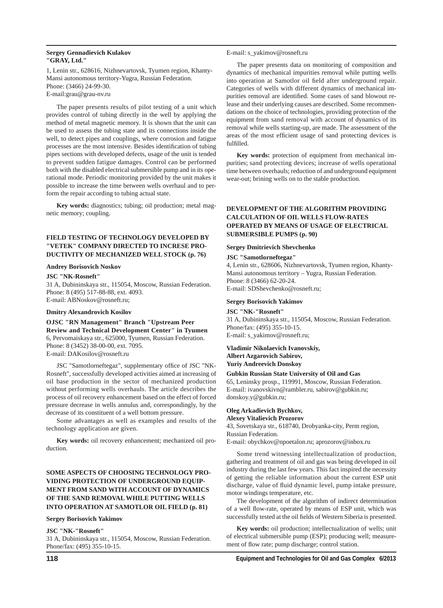## **Sergey Gennadievich Kulakov "GRAY, Ltd."**

1, Lenin str., 628616, Nizhnevartovsk, Tyumen region, Khanty-Mansi autonomous territory-Yugra, Russian Federation. Phone: (3466) 24-99-30. E-mail:grau@grau-nv.ru

The paper presents results of pilot testing of a unit which provides control of tubing directly in the well by applying the method of metal magnetic memory. It is shown that the unit can be used to assess the tubing state and its connections inside the well, to detect pipes and couplings, where corrosion and fatigue processes are the most intensive. Besides identification of tubing pipes sections with developed defects, usage of the unit is tended to prevent sudden fatigue damages. Control can be performed both with the disabled electrical submersible pump and in its operational mode. Periodic monitoring provided by the unit makes it possible to increase the time between wells overhaul and to perform the repair according to tubing actual state.

**Key words:** diagnostics; tubing; oil production; metal magnetic memory; coupling.

## **FIELD TESTING OF TECHNOLOGY DEVELOPED BY "VETEK" COMPANY DIRECTED TO INCRESE PRO-DUCTIVITY OF MECHANIZED WELL STOCK (р. 76)**

#### **Andrey Borisovich Noskov**

#### **JSC "NK-Rosneft"**

31 A, Dubininskaya str., 115054, Moscow, Russian Federation. Phone: 8 (495) 517-88-88, ext. 4093. E-mail: ABNoskov@rosneft.ru;

## **Dmitry Alexandrovich Kosilov**

**OJSC "RN Management" Branch "Upstream Peer Review and Technical Development Center" in Tyumen** 6, Pervomaiskaya str., 625000, Tyumen, Russian Federation. Phone: 8 (3452) 38-00-00, ext. 7095. E-mail: DAKosilov@rosneft.ru

JSC "Samotlorneftegaz", supplementary office of JSC "NK-Rosneft", successfully developed activities aimed at increasing of oil base production in the sector of mechanized production without performing wells overhauls. The article describes the process of oil recovery enhancement based on the effect of forced pressure decrease in wells annulus and, correspondingly, by the decrease of its constituent of a well bottom pressure.

Some advantages as well as examples and results of the technology application are given.

**Key words:** oil recovery enhancement; mechanized oil production.

## **SOME ASPECTS OF CHOOSING TECHNOLOGY PRO-VIDING PROTECTION OF UNDERGROUND EQUIP-MENT FROM SAND WITH ACCOUNT OF DYNAMICS OF THE SAND REMOVAL WHILE PUTTING WELLS INTO OPERATION AT SAMOTLOR OIL FIELD (р. 81)**

#### **Sergey Borisovich Yakimov**

## **JSC "NK-"Rosneft"**

31 A, Dubininskaya str., 115054, Moscow, Russian Federation. Phone/fax: (495) 355-10-15.

#### E-mail: s\_yakimov@rosneft.ru

The paper presents data on monitoring of composition and dynamics of mechanical impurities removal while putting wells into operation at Samotlor oil field after underground repair. Categories of wells with different dynamics of mechanical impurities removal are identified. Some cases of sand blowout release and their underlying causes are described. Some recommendations on the choice of technologies, providing protection of the equipment from sand removal with account of dynamics of its removal while wells starting-up, are made. The assessment of the areas of the most efficient usage of sand protecting devices is fulfilled.

**Key words:** protection of equipment from mechanical impurities; sand protecting devices; increase of wells operational time between overhauls; reduction of and underground equipment wear-out; brining wells on to the stable production.

## **DEVELOPMENT OF THE ALGORITHM PROVIDING CALCULATION OF OIL WELLS FLOW-RATES OPERATED BY MEANS OF USAGE OF ELECTRICAL SUBMERSIBLE PUMPS (р. 90)**

#### **Sergey Dmitrievich Shevchenko**

#### **JSC "Samotlorneftegaz"**

4, Lenin str., 628606, Nizhnevartovsk, Tyumen region, Khanty-Mansi autonomous territory – Yugra, Russian Federation. Phone: 8 (3466) 62-20-24. E-mail: SDShevchenko@rosneft.ru;

## **Sergey Borisovich Yakimov**

**JSC "NK-"Rosneft"** 31 A, Dubininskaya str., 115054, Moscow, Russian Federation. Phone/fax: (495) 355-10-15. E-mail: s\_yakimov@rosneft.ru;

#### **Vladimir Nikolaevich Ivanovskiy, Albert Azgarovich Sabirov, Yuriy Andreevich Donskoy**

#### **Gubkin Russian State University of Oil and Gas**

65, Leninsky prosp., 119991, Moscow, Russian Federation. E-mail: ivanovskivn@rambler.ru, sabirov@gubkin.ru; donskoy.y@gubkin.ru;

#### **Oleg Arkadievich Bychkov, Alexey Vitalievich Prozorov**

43, Sovetskaya str., 618740, Drobyanka-city, Perm region, Russian Federation.

E-mail: obychkov@npoetalon.ru; aprozorov@inbox.ru

Some trend witnessing intellectualization of production, gathering and treatment of oil and gas was being developed in oil industry during the last few years. This fact inspired the necessity of getting the reliable information about the current ESP unit discharge, value of fluid dynamic level, pump intake pressure, motor windings temperature, etc.

The development of the algorithm of indirect determination of a well flow-rate, operated by means of ESP unit, which was successfully tested at the oil fields of Western Siberia is presented.

**Key words:** oil production; intellectualization of wells; unit of electrical submersible pump (ESP); producing well; measurement of flow rate; pump discharge; control station.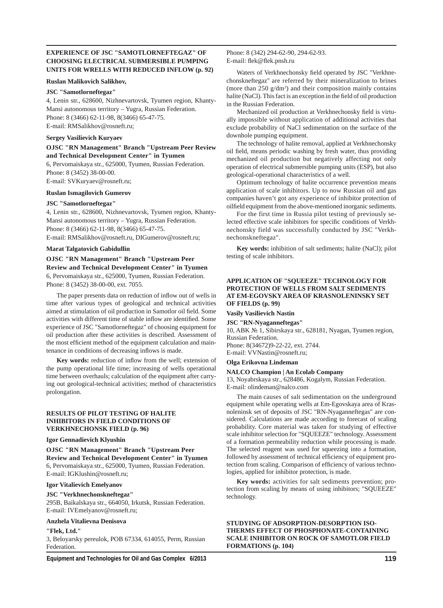## **EXPERIENCE OF JSC "SAMOTLORNEFTEGAZ" OF CHOOSING ELECTRICAL SUBMERSIBLE PUMPING UNITS FOR WRELLS WITH REDUCED INFLOW (р. 92)**

#### **Ruslan Malikovich Salikhov,**

#### **JSC "Samotlorneftegaz"**

4, Lenin str., 628600, Nizhnevartovsk, Tyumen region, Khanty-Mansi autonomous territory – Yugra, Russian Federation. Phone: 8 (3466) 62-11-98, 8(3466) 65-47-75. E-mail: RMSalikhov@rosneft.ru;

#### **Sergey Vasilievich Kuryaev**

## **OJSC "RN Management" Branch "Upstream Peer Review and Technical Development Center" in Tyumen**

6, Pervomaiskaya str., 625000, Tyumen, Russian Federation. Phone: 8 (3452) 38-00-00.

E-mail: SVKuryaev@rosneft.ru;

## **Ruslan Ismagilovich Gumerov**

#### **JSC "Samotlorneftegaz"**

4, Lenin str., 628600, Nizhnevartovsk, Tyumen region, Khanty-Mansi autonomous territory – Yugra, Russian Federation. Phone: 8 (3466) 62-11-98, 8(3466) 65-47-75. E-mail: RMSalikhov@rosneft.ru, DIGumerov@rosneft.ru;

#### **Marat Talgatovich Gabidullin**

## **OJSC "RN Management" Branch "Upstream Peer Review and Technical Development Center" in Tyumen** 6, Pervomaiskaya str., 625000, Tyumen, Russian Federation. Phone: 8 (3452) 38-00-00, ext. 7055.

The paper presents data on reduction of inflow out of wells in time after various types of geological and technical activities aimed at stimulation of oil production in Samotlor oil field. Some activities with different time of stable inflow are identified. Some experience of JSC "Samotlorneftegaz" of choosing equipment for oil production after these activities is described. Assessment of the most efficient method of the equipment calculation and maintenance in conditions of decreasing inflows is made.

Key words: reduction of inflow from the well; extension of the pump operational life time; increasing of wells operational time between overhauls; calculation of the equipment after carrying out geological-technical activities; method of characteristics prolongation.

## **RESULTS OF PILOT TESTING OF HALITE INHIBITORS IN FIELD CONDITIONS OF VERKHNECHONSK FIELD (р. 96)**

#### **Igor Gennadievich Klyushin**

**OJSC "RN Management" Branch "Upstream Peer Review and Technical Development Center" in Tyumen** 6, Pervomaiskaya str., 625000, Tyumen, Russian Federation. E-mail: IGKlushin@rosneft.ru;

## **Igor Vitalievich Emelyanov**

#### **JSC "Verkhnechonskneftegaz"**

295B, Baikalskaya str., 664050, Irkutsk, Russian Federation. E-mail: IVEmelyanov@rosneft.ru;

#### **Anzhela Vitalievna Denisova**

#### **"Flek, Ltd."**

3, Beloyarsky pereulok, POB 67334, 614055, Perm, Russian Federation.

Phone: 8 (342) 294-62-90, 294-62-93. E-mail: flek@flek.pnsh.ru

Waters of Verkhnechonsky field operated by JSC "Verkhnechonskneftegaz" are referred by their mineralization to brines (more than  $250$  g/dm<sup>3</sup>) and their composition mainly contains halite (NaCl). This fact is an exception in the field of oil production in the Russian Federation.

Mechanized oil production at Verkhnechonsky field is virtually impossible without application of additional activities that exclude probability of NaCl sedimentation on the surface of the downhole pumping equipment.

The technology of halite removal, applied at Verkhnechonsky oil field, means periodic washing by fresh water, thus providing mechanized oil production but negatively affecting not only operation of electrical submersible pumping units (ESP), but also geological-operational characteristics of a well.

Optimum technology of halite occurrence prevention means application of scale inhibitors. Up to now Russian oil and gas companies haven't got any experience of inhibitor protection of oilfield equipment from the above-mentioned inorganic sediments.

For the first time in Russia pilot testing of previously selected effective scale inhibitors for specific conditions of Verkhnechonsky field was successfully conducted by JSC "Verkhnechonskneftegaz".

**Key words:** inhibition of salt sediments; halite (NaCl); pilot testing of scale inhibitors.

## **APPLICATION OF "SQUEEZE" TECHNOLOGY FOR PROTECTION OF WELLS FROM SALT SEDIMENTS AT EM-EGOVSKY AREA OF KRASNOLENINSKY SET OF FIELDS (р. 99)**

**Vasily Vasilievich Nastin**

#### **JSC "RN-Nyaganneftegas"**

10, ABK № 1, Sibirskaya str., 628181, Nyagan, Tyumen region, Russian Federation.

Phone: 8(34672)9-22-22, ext. 2744. E-mail: VVNastin@rosneft.ru;

## **Olga Erikovna Lindeman**

## **NALCO Champion | An Ecolab Company**

13, Noyabrskaya str., 628486, Kogalym, Russian Federation. E-mail: olindeman@nalco.com

The main causes of salt sedimentation on the underground equipment while operating wells at Em-Egovskaya area of Krasnoleninsk set of deposits of JSC "RN-Nyaganneftegas" are considered. Calculations are made according to forecast of scaling probability. Core material was taken for studying of effective scale inhibitor selection for "SQUEEZE" technology. Assessment of a formation permeability reduction while processing is made. The selected reagent was used for squeezing into a formation, followed by assessment of technical efficiency of equipment protection from scaling. Comparison of efficiency of various technologies, applied for inhibitor protection, is made.

**Key words:** activities for salt sediments prevention; protection from scaling by means of using inhibitors; "SQUEEZE" technology.

**STUDYING OF ADSORPTION-DESORPTION ISO-THERMS EFFECT OF PHOSPHONATE-CONTAINING SCALE INHIBITOR ON ROCK OF SAMOTLOR FIELD FORMATIONS (р. 104)**